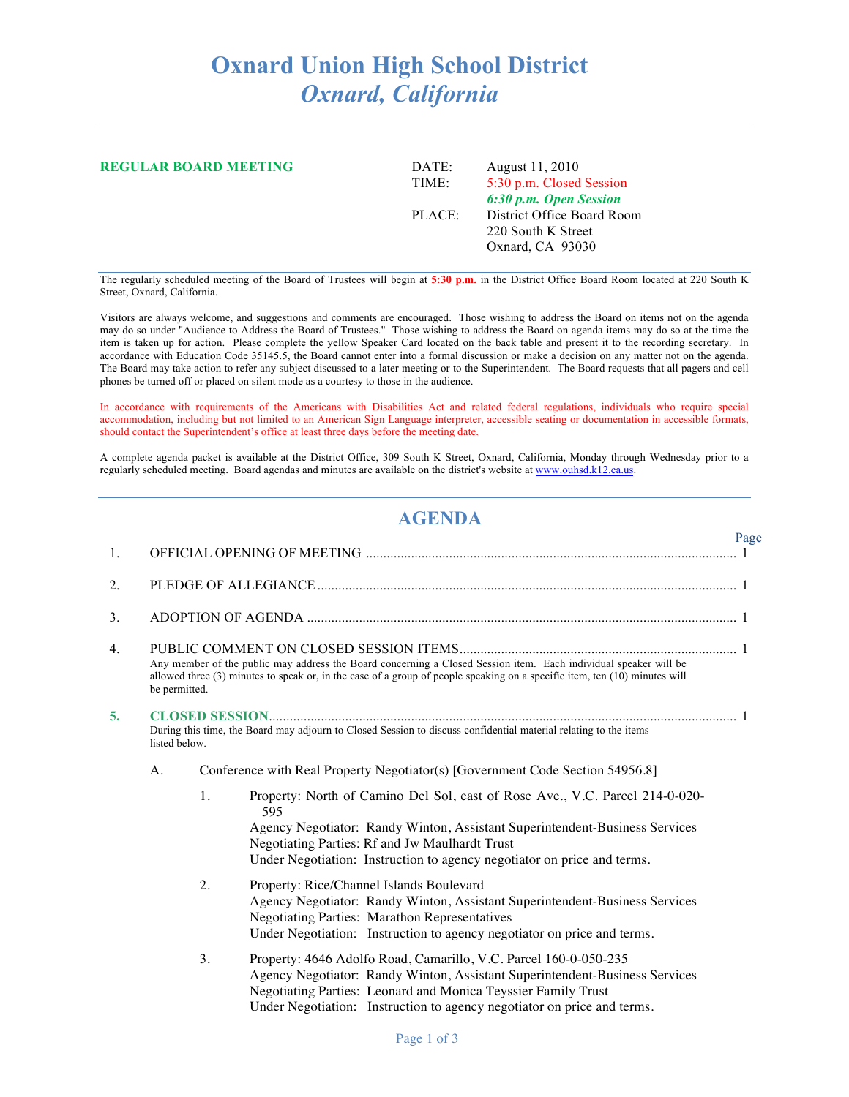## **Oxnard Union High School District** *Oxnard, California*

| <b>REGULAR BOARD MEETING</b> | DATE:<br>TIME: | August 11, 2010<br>5:30 p.m. Closed Session<br>6:30 p.m. Open Session |
|------------------------------|----------------|-----------------------------------------------------------------------|
|                              | PLACE:         | District Office Board Room<br>220 South K Street<br>Oxnard, CA 93030  |

The regularly scheduled meeting of the Board of Trustees will begin at **5:30 p.m.** in the District Office Board Room located at 220 South K Street, Oxnard, California.

Visitors are always welcome, and suggestions and comments are encouraged. Those wishing to address the Board on items not on the agenda may do so under "Audience to Address the Board of Trustees." Those wishing to address the Board on agenda items may do so at the time the item is taken up for action. Please complete the yellow Speaker Card located on the back table and present it to the recording secretary. In accordance with Education Code 35145.5, the Board cannot enter into a formal discussion or make a decision on any matter not on the agenda. The Board may take action to refer any subject discussed to a later meeting or to the Superintendent. The Board requests that all pagers and cell phones be turned off or placed on silent mode as a courtesy to those in the audience.

In accordance with requirements of the Americans with Disabilities Act and related federal regulations, individuals who require special accommodation, including but not limited to an American Sign Language interpreter, accessible seating or documentation in accessible formats, should contact the Superintendent's office at least three days before the meeting date.

A complete agenda packet is available at the District Office, 309 South K Street, Oxnard, California, Monday through Wednesday prior to a regularly scheduled meeting. Board agendas and minutes are available on the district's website at www.ouhsd.k12.ca.us.

## **AGENDA**

Page

| 1.             |               |                                                                                                                                                                                                                                                                                                       |  |
|----------------|---------------|-------------------------------------------------------------------------------------------------------------------------------------------------------------------------------------------------------------------------------------------------------------------------------------------------------|--|
| 2.             |               |                                                                                                                                                                                                                                                                                                       |  |
| 3 <sub>1</sub> |               |                                                                                                                                                                                                                                                                                                       |  |
| 4.             | be permitted. | Any member of the public may address the Board concerning a Closed Session item. Each individual speaker will be<br>allowed three (3) minutes to speak or, in the case of a group of people speaking on a specific item, ten (10) minutes will                                                        |  |
| 5.             | listed below. | During this time, the Board may adjourn to Closed Session to discuss confidential material relating to the items                                                                                                                                                                                      |  |
|                | A.            | Conference with Real Property Negotiator(s) [Government Code Section 54956.8]                                                                                                                                                                                                                         |  |
|                |               | Property: North of Camino Del Sol, east of Rose Ave., V.C. Parcel 214-0-020-<br>1.<br>595<br>Agency Negotiator: Randy Winton, Assistant Superintendent-Business Services<br>Negotiating Parties: Rf and Jw Maulhardt Trust<br>Under Negotiation: Instruction to agency negotiator on price and terms. |  |
|                |               | 2.<br>Property: Rice/Channel Islands Boulevard<br>Agency Negotiator: Randy Winton, Assistant Superintendent-Business Services<br><b>Negotiating Parties: Marathon Representatives</b><br>Under Negotiation: Instruction to agency negotiator on price and terms.                                      |  |
|                |               | 3.<br>Property: 4646 Adolfo Road, Camarillo, V.C. Parcel 160-0-050-235<br>Agency Negotiator: Randy Winton, Assistant Superintendent-Business Services<br>Negotiating Parties: Leonard and Monica Teyssier Family Trust<br>Under Negotiation: Instruction to agency negotiator on price and terms.     |  |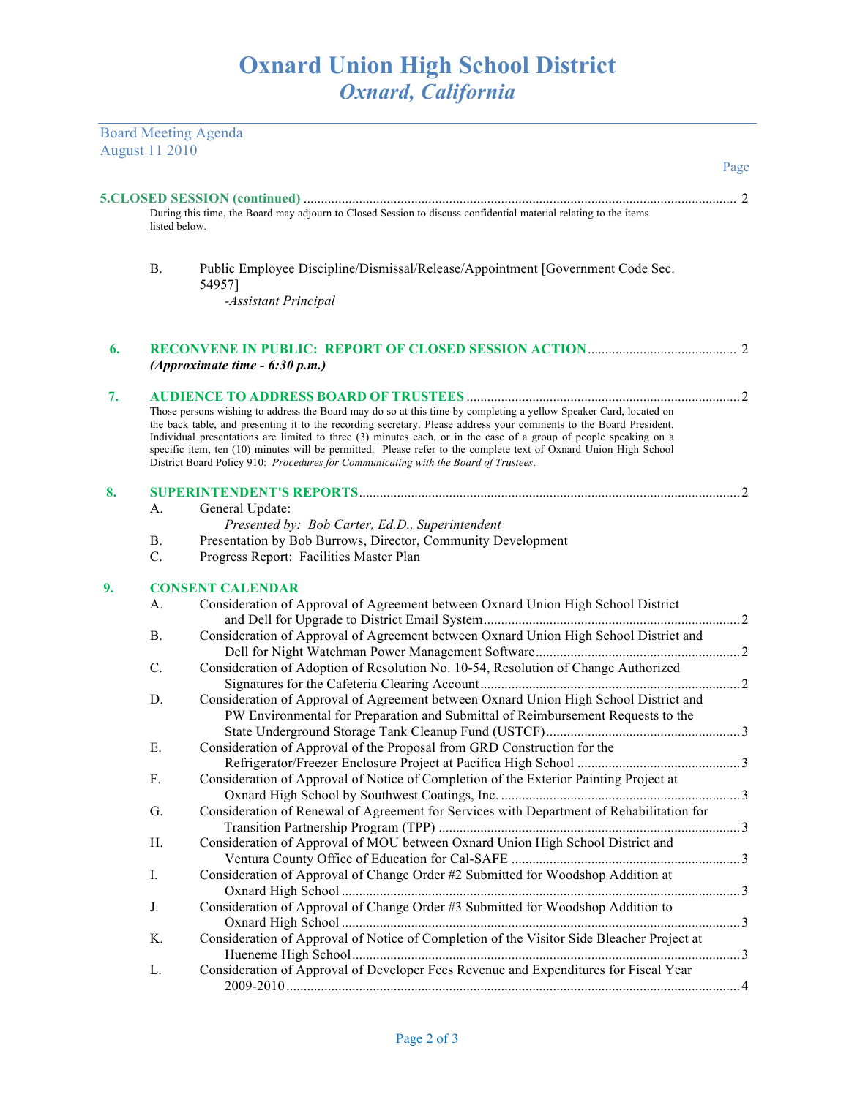Board Meeting Agenda

|    | <b>August 11 2010</b> |                                                                                                                                                                                                                                                                                                                                                                                                                                                                                                                                                                         |                |  |  |  |
|----|-----------------------|-------------------------------------------------------------------------------------------------------------------------------------------------------------------------------------------------------------------------------------------------------------------------------------------------------------------------------------------------------------------------------------------------------------------------------------------------------------------------------------------------------------------------------------------------------------------------|----------------|--|--|--|
|    |                       |                                                                                                                                                                                                                                                                                                                                                                                                                                                                                                                                                                         | Page           |  |  |  |
|    |                       |                                                                                                                                                                                                                                                                                                                                                                                                                                                                                                                                                                         |                |  |  |  |
|    | listed below.         | During this time, the Board may adjourn to Closed Session to discuss confidential material relating to the items                                                                                                                                                                                                                                                                                                                                                                                                                                                        |                |  |  |  |
|    | <b>B.</b>             | Public Employee Discipline/Dismissal/Release/Appointment [Government Code Sec.<br>54957]                                                                                                                                                                                                                                                                                                                                                                                                                                                                                |                |  |  |  |
|    |                       | -Assistant Principal                                                                                                                                                                                                                                                                                                                                                                                                                                                                                                                                                    |                |  |  |  |
| 6. |                       | (Approximate time - 6:30 p.m.)                                                                                                                                                                                                                                                                                                                                                                                                                                                                                                                                          |                |  |  |  |
| 7. |                       |                                                                                                                                                                                                                                                                                                                                                                                                                                                                                                                                                                         |                |  |  |  |
|    |                       | Those persons wishing to address the Board may do so at this time by completing a yellow Speaker Card, located on<br>the back table, and presenting it to the recording secretary. Please address your comments to the Board President.<br>Individual presentations are limited to three (3) minutes each, or in the case of a group of people speaking on a<br>specific item, ten (10) minutes will be permitted. Please refer to the complete text of Oxnard Union High School<br>District Board Policy 910: Procedures for Communicating with the Board of Trustees. |                |  |  |  |
| 8. |                       |                                                                                                                                                                                                                                                                                                                                                                                                                                                                                                                                                                         |                |  |  |  |
|    | A.                    | General Update:                                                                                                                                                                                                                                                                                                                                                                                                                                                                                                                                                         |                |  |  |  |
|    |                       | Presented by: Bob Carter, Ed.D., Superintendent                                                                                                                                                                                                                                                                                                                                                                                                                                                                                                                         |                |  |  |  |
|    | <b>B.</b>             | Presentation by Bob Burrows, Director, Community Development                                                                                                                                                                                                                                                                                                                                                                                                                                                                                                            |                |  |  |  |
|    | C.                    | Progress Report: Facilities Master Plan                                                                                                                                                                                                                                                                                                                                                                                                                                                                                                                                 |                |  |  |  |
| 9. |                       | <b>CONSENT CALENDAR</b>                                                                                                                                                                                                                                                                                                                                                                                                                                                                                                                                                 |                |  |  |  |
|    | А.                    | Consideration of Approval of Agreement between Oxnard Union High School District                                                                                                                                                                                                                                                                                                                                                                                                                                                                                        |                |  |  |  |
|    |                       |                                                                                                                                                                                                                                                                                                                                                                                                                                                                                                                                                                         |                |  |  |  |
|    | <b>B.</b>             | Consideration of Approval of Agreement between Oxnard Union High School District and                                                                                                                                                                                                                                                                                                                                                                                                                                                                                    |                |  |  |  |
|    |                       |                                                                                                                                                                                                                                                                                                                                                                                                                                                                                                                                                                         |                |  |  |  |
|    | $C$ .                 | Consideration of Adoption of Resolution No. 10-54, Resolution of Change Authorized                                                                                                                                                                                                                                                                                                                                                                                                                                                                                      |                |  |  |  |
|    |                       |                                                                                                                                                                                                                                                                                                                                                                                                                                                                                                                                                                         |                |  |  |  |
|    | D.                    | Consideration of Approval of Agreement between Oxnard Union High School District and                                                                                                                                                                                                                                                                                                                                                                                                                                                                                    |                |  |  |  |
|    |                       | PW Environmental for Preparation and Submittal of Reimbursement Requests to the                                                                                                                                                                                                                                                                                                                                                                                                                                                                                         |                |  |  |  |
|    |                       |                                                                                                                                                                                                                                                                                                                                                                                                                                                                                                                                                                         |                |  |  |  |
|    | Е.                    | Consideration of Approval of the Proposal from GRD Construction for the                                                                                                                                                                                                                                                                                                                                                                                                                                                                                                 |                |  |  |  |
|    |                       | Refrigerator/Freezer Enclosure Project at Pacifica High School                                                                                                                                                                                                                                                                                                                                                                                                                                                                                                          | 3              |  |  |  |
|    | F.                    | Consideration of Approval of Notice of Completion of the Exterior Painting Project at                                                                                                                                                                                                                                                                                                                                                                                                                                                                                   |                |  |  |  |
|    |                       |                                                                                                                                                                                                                                                                                                                                                                                                                                                                                                                                                                         |                |  |  |  |
|    | G.                    | Consideration of Renewal of Agreement for Services with Department of Rehabilitation for                                                                                                                                                                                                                                                                                                                                                                                                                                                                                |                |  |  |  |
|    |                       | Consideration of Approval of MOU between Oxnard Union High School District and                                                                                                                                                                                                                                                                                                                                                                                                                                                                                          |                |  |  |  |
|    | Н.                    |                                                                                                                                                                                                                                                                                                                                                                                                                                                                                                                                                                         |                |  |  |  |
|    | Ι.                    | Consideration of Approval of Change Order #2 Submitted for Woodshop Addition at                                                                                                                                                                                                                                                                                                                                                                                                                                                                                         |                |  |  |  |
|    |                       |                                                                                                                                                                                                                                                                                                                                                                                                                                                                                                                                                                         |                |  |  |  |
|    | J.                    | Consideration of Approval of Change Order #3 Submitted for Woodshop Addition to                                                                                                                                                                                                                                                                                                                                                                                                                                                                                         |                |  |  |  |
|    |                       |                                                                                                                                                                                                                                                                                                                                                                                                                                                                                                                                                                         |                |  |  |  |
|    | Κ.                    | Consideration of Approval of Notice of Completion of the Visitor Side Bleacher Project at                                                                                                                                                                                                                                                                                                                                                                                                                                                                               |                |  |  |  |
|    |                       |                                                                                                                                                                                                                                                                                                                                                                                                                                                                                                                                                                         |                |  |  |  |
|    | L.                    | Consideration of Approval of Developer Fees Revenue and Expenditures for Fiscal Year                                                                                                                                                                                                                                                                                                                                                                                                                                                                                    |                |  |  |  |
|    |                       |                                                                                                                                                                                                                                                                                                                                                                                                                                                                                                                                                                         | $\overline{4}$ |  |  |  |